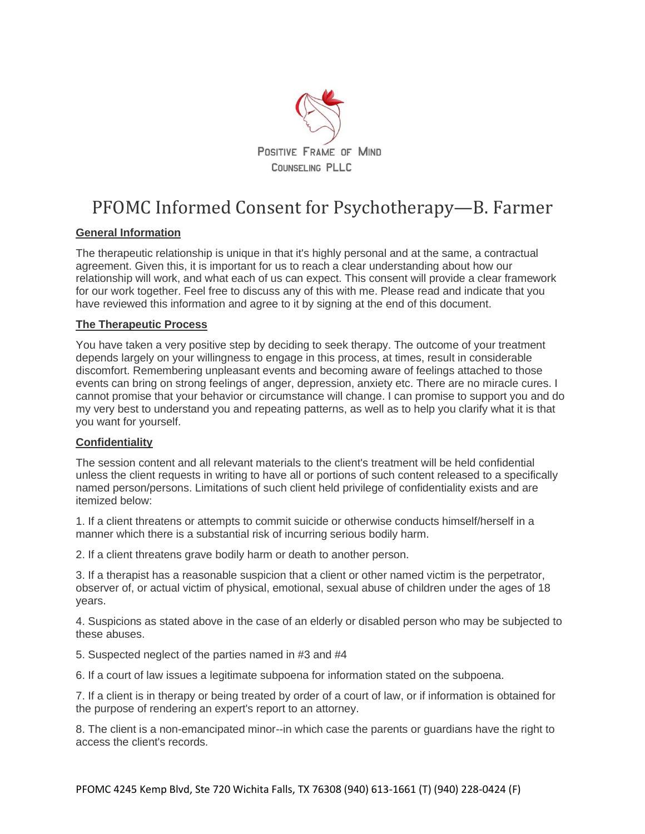

# PFOMC Informed Consent for Psychotherapy—B. Farmer

## **General Information**

The therapeutic relationship is unique in that it's highly personal and at the same, a contractual agreement. Given this, it is important for us to reach a clear understanding about how our relationship will work, and what each of us can expect. This consent will provide a clear framework for our work together. Feel free to discuss any of this with me. Please read and indicate that you have reviewed this information and agree to it by signing at the end of this document.

### **The Therapeutic Process**

You have taken a very positive step by deciding to seek therapy. The outcome of your treatment depends largely on your willingness to engage in this process, at times, result in considerable discomfort. Remembering unpleasant events and becoming aware of feelings attached to those events can bring on strong feelings of anger, depression, anxiety etc. There are no miracle cures. I cannot promise that your behavior or circumstance will change. I can promise to support you and do my very best to understand you and repeating patterns, as well as to help you clarify what it is that you want for yourself.

#### **Confidentiality**

The session content and all relevant materials to the client's treatment will be held confidential unless the client requests in writing to have all or portions of such content released to a specifically named person/persons. Limitations of such client held privilege of confidentiality exists and are itemized below:

1. If a client threatens or attempts to commit suicide or otherwise conducts himself/herself in a manner which there is a substantial risk of incurring serious bodily harm.

2. If a client threatens grave bodily harm or death to another person.

3. If a therapist has a reasonable suspicion that a client or other named victim is the perpetrator, observer of, or actual victim of physical, emotional, sexual abuse of children under the ages of 18 years.

4. Suspicions as stated above in the case of an elderly or disabled person who may be subjected to these abuses.

5. Suspected neglect of the parties named in #3 and #4

6. If a court of law issues a legitimate subpoena for information stated on the subpoena.

7. If a client is in therapy or being treated by order of a court of law, or if information is obtained for the purpose of rendering an expert's report to an attorney.

8. The client is a non-emancipated minor--in which case the parents or guardians have the right to access the client's records.